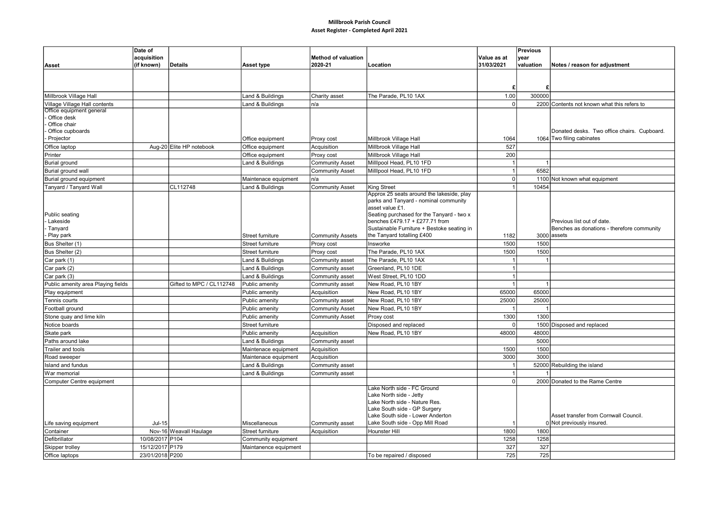## Millbrook Parish Council Asset Register - Completed April 2021

| acquisition<br><b>Method of valuation</b><br>Value as at<br><b>vear</b><br>2020-21<br>31/03/2021<br>valuation<br>(if known)<br>Details<br>Asset type<br>Location<br>Notes / reason for adjustment<br>Asset<br>£<br>1.00<br>300000<br>Millbrook Village Hall<br>Land & Buildings<br>The Parade, PL10 1AX<br>Charity asset<br>Village Village Hall contents<br>Land & Buildings<br>n/a<br>$\Omega$<br>2200 Contents not known what this refers to<br>Office equipment general<br>Office desk<br>Office chair<br>Office cupboards<br>Donated desks. Two office chairs. Cupboard.<br>Projector<br>Millbrook Village Hall<br>1064 Two filing cabinates<br>Office equipment<br>Proxy cost<br>1064<br>527<br>Aug-20 Elite HP notebook<br>Office equipment<br>Acquisition<br>Millbrook Village Hall<br>Office laptop<br>200<br>Printer<br>Office equipment<br>Proxy cost<br>Millbrook Village Hall<br>Milllpool Head, PL10 1FD<br>Land & Buildings<br><b>Community Asset</b><br><b>Burial ground</b><br>-1<br>6582<br><b>Community Asset</b><br>Millipool Head, PL10 1FD<br>Burial ground wall<br>Burial ground equipment<br>n/a<br>$\mathbf 0$<br>1100 Not known what equipment<br>Maintenace equipment<br><b>Community Asset</b><br>Tanyard / Tanyard Wall<br>CL112748<br>Land & Buildings<br>King Street<br>10454<br>Approx 25 seats around the lakeside, play<br>parks and Tanyard - nominal community<br>asset value £1.<br>Seating purchased for the Tanyard - two x<br>Public seating<br>Lakeside<br>benches £479.17 + £277.71 from<br>Previous list out of date.<br>Tanyard<br>Sustainable Furniture + Bestoke seating in<br>Benches as donations - therefore community<br>Play park<br>the Tanyard totalling £400<br>3000 assets<br>Street furniture<br><b>Community Assets</b><br>1182<br>1500<br>Bus Shelter (1)<br>Street furniture<br>Insworke<br>1500<br>Proxy cost<br>The Parade, PL10 1AX<br>1500<br>1500<br>Bus Shelter (2)<br>Street furniture<br>Proxy cost<br>The Parade, PL10 1AX<br>Car park (1)<br>Land & Buildings<br>Community asset<br>Car park (2)<br>Greenland, PL10 1DE<br>Land & Buildings<br>Community asset<br>Car park (3)<br>Land & Buildings<br>West Street, PL10 1DD<br>Community asset<br>Public amenity area Playing fields<br>Gifted to MPC / CL112748<br>Public amenity<br>New Road, PL10 1BY<br>$\overline{1}$<br>Community asset<br>Play equipment<br>Public amenity<br>Acquisition<br>New Road, PL10 1BY<br>65000<br>65000<br>Tennis courts<br>Public amenity<br>New Road, PL10 1BY<br>25000<br>25000<br>Community asset<br>New Road, PL10 1BY<br>Football ground<br>Public amenity<br><b>Community Asset</b><br>$\overline{\mathbf{1}}$<br>1300<br>1300<br>Proxy cost<br>Stone quay and lime kiln<br>Public amenity<br><b>Community Asset</b><br>Notice boards<br>$\mathbf 0$<br>1500 Disposed and replaced<br><b>Street furniture</b><br>Disposed and replaced<br>48000<br>Skate park<br>Acquisition<br>New Road, PL10 1BY<br>48000<br>Public amenity<br>5000<br>Paths around lake<br>Land & Buildings<br>Community asset<br>1500<br>Trailer and tools<br>Acquisition<br>1500<br>Maintenace equipment<br>3000<br>3000<br>Acquisition<br>Road sweeper<br>Maintenace equipment<br>52000 Rebuilding the island<br>Island and fundus<br>Land & Buildings<br>Community asset<br>$\overline{1}$<br>War memorial<br>Land & Buildings<br>Community asset<br>$\mathbf 0$<br>2000 Donated to the Rame Centre<br>Computer Centre equipment<br>Lake North side - FC Ground<br>_ake North side - Jetty<br>Lake North side - Nature Res.<br>Lake South side - GP Surgery<br>Asset transfer from Cornwall Council.<br>Lake South side - Lower Anderton<br>Lake South side - Opp Mill Road<br>0 Not previously insured.<br>Life saving equipment<br>$Jul-15$<br>Miscellaneous<br>Community asset<br>Nov-16 Weavall Haulage<br>Acquisition<br>1800<br>1800<br>Container<br>Street furniture<br>Hounster Hill<br>Defibrillator<br>10/08/2017 P104<br>1258<br>1258<br>Community equipment<br>327<br>15/12/2017 P179<br>327<br>Skipper trolley<br>Maintanence equipment<br>23/01/2018 P200<br>725<br>725<br>Office laptops<br>To be repaired / disposed | Date of |  |  | Previous |  |
|--------------------------------------------------------------------------------------------------------------------------------------------------------------------------------------------------------------------------------------------------------------------------------------------------------------------------------------------------------------------------------------------------------------------------------------------------------------------------------------------------------------------------------------------------------------------------------------------------------------------------------------------------------------------------------------------------------------------------------------------------------------------------------------------------------------------------------------------------------------------------------------------------------------------------------------------------------------------------------------------------------------------------------------------------------------------------------------------------------------------------------------------------------------------------------------------------------------------------------------------------------------------------------------------------------------------------------------------------------------------------------------------------------------------------------------------------------------------------------------------------------------------------------------------------------------------------------------------------------------------------------------------------------------------------------------------------------------------------------------------------------------------------------------------------------------------------------------------------------------------------------------------------------------------------------------------------------------------------------------------------------------------------------------------------------------------------------------------------------------------------------------------------------------------------------------------------------------------------------------------------------------------------------------------------------------------------------------------------------------------------------------------------------------------------------------------------------------------------------------------------------------------------------------------------------------------------------------------------------------------------------------------------------------------------------------------------------------------------------------------------------------------------------------------------------------------------------------------------------------------------------------------------------------------------------------------------------------------------------------------------------------------------------------------------------------------------------------------------------------------------------------------------------------------------------------------------------------------------------------------------------------------------------------------------------------------------------------------------------------------------------------------------------------------------------------------------------------------------------------------------------------------------------------------------------------------------------------------------------------------------------------------------------------------------------------------------------------------------------------------------------------------------------------------------------------------------------------------------------------------------------------------------------------------------------------------------------------------------------------------------------------------------------------------------------------------------------------------------------------------------------------------------------------------------|---------|--|--|----------|--|
|                                                                                                                                                                                                                                                                                                                                                                                                                                                                                                                                                                                                                                                                                                                                                                                                                                                                                                                                                                                                                                                                                                                                                                                                                                                                                                                                                                                                                                                                                                                                                                                                                                                                                                                                                                                                                                                                                                                                                                                                                                                                                                                                                                                                                                                                                                                                                                                                                                                                                                                                                                                                                                                                                                                                                                                                                                                                                                                                                                                                                                                                                                                                                                                                                                                                                                                                                                                                                                                                                                                                                                                                                                                                                                                                                                                                                                                                                                                                                                                                                                                                                                                                                                          |         |  |  |          |  |
|                                                                                                                                                                                                                                                                                                                                                                                                                                                                                                                                                                                                                                                                                                                                                                                                                                                                                                                                                                                                                                                                                                                                                                                                                                                                                                                                                                                                                                                                                                                                                                                                                                                                                                                                                                                                                                                                                                                                                                                                                                                                                                                                                                                                                                                                                                                                                                                                                                                                                                                                                                                                                                                                                                                                                                                                                                                                                                                                                                                                                                                                                                                                                                                                                                                                                                                                                                                                                                                                                                                                                                                                                                                                                                                                                                                                                                                                                                                                                                                                                                                                                                                                                                          |         |  |  |          |  |
|                                                                                                                                                                                                                                                                                                                                                                                                                                                                                                                                                                                                                                                                                                                                                                                                                                                                                                                                                                                                                                                                                                                                                                                                                                                                                                                                                                                                                                                                                                                                                                                                                                                                                                                                                                                                                                                                                                                                                                                                                                                                                                                                                                                                                                                                                                                                                                                                                                                                                                                                                                                                                                                                                                                                                                                                                                                                                                                                                                                                                                                                                                                                                                                                                                                                                                                                                                                                                                                                                                                                                                                                                                                                                                                                                                                                                                                                                                                                                                                                                                                                                                                                                                          |         |  |  |          |  |
|                                                                                                                                                                                                                                                                                                                                                                                                                                                                                                                                                                                                                                                                                                                                                                                                                                                                                                                                                                                                                                                                                                                                                                                                                                                                                                                                                                                                                                                                                                                                                                                                                                                                                                                                                                                                                                                                                                                                                                                                                                                                                                                                                                                                                                                                                                                                                                                                                                                                                                                                                                                                                                                                                                                                                                                                                                                                                                                                                                                                                                                                                                                                                                                                                                                                                                                                                                                                                                                                                                                                                                                                                                                                                                                                                                                                                                                                                                                                                                                                                                                                                                                                                                          |         |  |  |          |  |
|                                                                                                                                                                                                                                                                                                                                                                                                                                                                                                                                                                                                                                                                                                                                                                                                                                                                                                                                                                                                                                                                                                                                                                                                                                                                                                                                                                                                                                                                                                                                                                                                                                                                                                                                                                                                                                                                                                                                                                                                                                                                                                                                                                                                                                                                                                                                                                                                                                                                                                                                                                                                                                                                                                                                                                                                                                                                                                                                                                                                                                                                                                                                                                                                                                                                                                                                                                                                                                                                                                                                                                                                                                                                                                                                                                                                                                                                                                                                                                                                                                                                                                                                                                          |         |  |  |          |  |
|                                                                                                                                                                                                                                                                                                                                                                                                                                                                                                                                                                                                                                                                                                                                                                                                                                                                                                                                                                                                                                                                                                                                                                                                                                                                                                                                                                                                                                                                                                                                                                                                                                                                                                                                                                                                                                                                                                                                                                                                                                                                                                                                                                                                                                                                                                                                                                                                                                                                                                                                                                                                                                                                                                                                                                                                                                                                                                                                                                                                                                                                                                                                                                                                                                                                                                                                                                                                                                                                                                                                                                                                                                                                                                                                                                                                                                                                                                                                                                                                                                                                                                                                                                          |         |  |  |          |  |
|                                                                                                                                                                                                                                                                                                                                                                                                                                                                                                                                                                                                                                                                                                                                                                                                                                                                                                                                                                                                                                                                                                                                                                                                                                                                                                                                                                                                                                                                                                                                                                                                                                                                                                                                                                                                                                                                                                                                                                                                                                                                                                                                                                                                                                                                                                                                                                                                                                                                                                                                                                                                                                                                                                                                                                                                                                                                                                                                                                                                                                                                                                                                                                                                                                                                                                                                                                                                                                                                                                                                                                                                                                                                                                                                                                                                                                                                                                                                                                                                                                                                                                                                                                          |         |  |  |          |  |
|                                                                                                                                                                                                                                                                                                                                                                                                                                                                                                                                                                                                                                                                                                                                                                                                                                                                                                                                                                                                                                                                                                                                                                                                                                                                                                                                                                                                                                                                                                                                                                                                                                                                                                                                                                                                                                                                                                                                                                                                                                                                                                                                                                                                                                                                                                                                                                                                                                                                                                                                                                                                                                                                                                                                                                                                                                                                                                                                                                                                                                                                                                                                                                                                                                                                                                                                                                                                                                                                                                                                                                                                                                                                                                                                                                                                                                                                                                                                                                                                                                                                                                                                                                          |         |  |  |          |  |
|                                                                                                                                                                                                                                                                                                                                                                                                                                                                                                                                                                                                                                                                                                                                                                                                                                                                                                                                                                                                                                                                                                                                                                                                                                                                                                                                                                                                                                                                                                                                                                                                                                                                                                                                                                                                                                                                                                                                                                                                                                                                                                                                                                                                                                                                                                                                                                                                                                                                                                                                                                                                                                                                                                                                                                                                                                                                                                                                                                                                                                                                                                                                                                                                                                                                                                                                                                                                                                                                                                                                                                                                                                                                                                                                                                                                                                                                                                                                                                                                                                                                                                                                                                          |         |  |  |          |  |
|                                                                                                                                                                                                                                                                                                                                                                                                                                                                                                                                                                                                                                                                                                                                                                                                                                                                                                                                                                                                                                                                                                                                                                                                                                                                                                                                                                                                                                                                                                                                                                                                                                                                                                                                                                                                                                                                                                                                                                                                                                                                                                                                                                                                                                                                                                                                                                                                                                                                                                                                                                                                                                                                                                                                                                                                                                                                                                                                                                                                                                                                                                                                                                                                                                                                                                                                                                                                                                                                                                                                                                                                                                                                                                                                                                                                                                                                                                                                                                                                                                                                                                                                                                          |         |  |  |          |  |
|                                                                                                                                                                                                                                                                                                                                                                                                                                                                                                                                                                                                                                                                                                                                                                                                                                                                                                                                                                                                                                                                                                                                                                                                                                                                                                                                                                                                                                                                                                                                                                                                                                                                                                                                                                                                                                                                                                                                                                                                                                                                                                                                                                                                                                                                                                                                                                                                                                                                                                                                                                                                                                                                                                                                                                                                                                                                                                                                                                                                                                                                                                                                                                                                                                                                                                                                                                                                                                                                                                                                                                                                                                                                                                                                                                                                                                                                                                                                                                                                                                                                                                                                                                          |         |  |  |          |  |
|                                                                                                                                                                                                                                                                                                                                                                                                                                                                                                                                                                                                                                                                                                                                                                                                                                                                                                                                                                                                                                                                                                                                                                                                                                                                                                                                                                                                                                                                                                                                                                                                                                                                                                                                                                                                                                                                                                                                                                                                                                                                                                                                                                                                                                                                                                                                                                                                                                                                                                                                                                                                                                                                                                                                                                                                                                                                                                                                                                                                                                                                                                                                                                                                                                                                                                                                                                                                                                                                                                                                                                                                                                                                                                                                                                                                                                                                                                                                                                                                                                                                                                                                                                          |         |  |  |          |  |
|                                                                                                                                                                                                                                                                                                                                                                                                                                                                                                                                                                                                                                                                                                                                                                                                                                                                                                                                                                                                                                                                                                                                                                                                                                                                                                                                                                                                                                                                                                                                                                                                                                                                                                                                                                                                                                                                                                                                                                                                                                                                                                                                                                                                                                                                                                                                                                                                                                                                                                                                                                                                                                                                                                                                                                                                                                                                                                                                                                                                                                                                                                                                                                                                                                                                                                                                                                                                                                                                                                                                                                                                                                                                                                                                                                                                                                                                                                                                                                                                                                                                                                                                                                          |         |  |  |          |  |
|                                                                                                                                                                                                                                                                                                                                                                                                                                                                                                                                                                                                                                                                                                                                                                                                                                                                                                                                                                                                                                                                                                                                                                                                                                                                                                                                                                                                                                                                                                                                                                                                                                                                                                                                                                                                                                                                                                                                                                                                                                                                                                                                                                                                                                                                                                                                                                                                                                                                                                                                                                                                                                                                                                                                                                                                                                                                                                                                                                                                                                                                                                                                                                                                                                                                                                                                                                                                                                                                                                                                                                                                                                                                                                                                                                                                                                                                                                                                                                                                                                                                                                                                                                          |         |  |  |          |  |
|                                                                                                                                                                                                                                                                                                                                                                                                                                                                                                                                                                                                                                                                                                                                                                                                                                                                                                                                                                                                                                                                                                                                                                                                                                                                                                                                                                                                                                                                                                                                                                                                                                                                                                                                                                                                                                                                                                                                                                                                                                                                                                                                                                                                                                                                                                                                                                                                                                                                                                                                                                                                                                                                                                                                                                                                                                                                                                                                                                                                                                                                                                                                                                                                                                                                                                                                                                                                                                                                                                                                                                                                                                                                                                                                                                                                                                                                                                                                                                                                                                                                                                                                                                          |         |  |  |          |  |
|                                                                                                                                                                                                                                                                                                                                                                                                                                                                                                                                                                                                                                                                                                                                                                                                                                                                                                                                                                                                                                                                                                                                                                                                                                                                                                                                                                                                                                                                                                                                                                                                                                                                                                                                                                                                                                                                                                                                                                                                                                                                                                                                                                                                                                                                                                                                                                                                                                                                                                                                                                                                                                                                                                                                                                                                                                                                                                                                                                                                                                                                                                                                                                                                                                                                                                                                                                                                                                                                                                                                                                                                                                                                                                                                                                                                                                                                                                                                                                                                                                                                                                                                                                          |         |  |  |          |  |
|                                                                                                                                                                                                                                                                                                                                                                                                                                                                                                                                                                                                                                                                                                                                                                                                                                                                                                                                                                                                                                                                                                                                                                                                                                                                                                                                                                                                                                                                                                                                                                                                                                                                                                                                                                                                                                                                                                                                                                                                                                                                                                                                                                                                                                                                                                                                                                                                                                                                                                                                                                                                                                                                                                                                                                                                                                                                                                                                                                                                                                                                                                                                                                                                                                                                                                                                                                                                                                                                                                                                                                                                                                                                                                                                                                                                                                                                                                                                                                                                                                                                                                                                                                          |         |  |  |          |  |
|                                                                                                                                                                                                                                                                                                                                                                                                                                                                                                                                                                                                                                                                                                                                                                                                                                                                                                                                                                                                                                                                                                                                                                                                                                                                                                                                                                                                                                                                                                                                                                                                                                                                                                                                                                                                                                                                                                                                                                                                                                                                                                                                                                                                                                                                                                                                                                                                                                                                                                                                                                                                                                                                                                                                                                                                                                                                                                                                                                                                                                                                                                                                                                                                                                                                                                                                                                                                                                                                                                                                                                                                                                                                                                                                                                                                                                                                                                                                                                                                                                                                                                                                                                          |         |  |  |          |  |
|                                                                                                                                                                                                                                                                                                                                                                                                                                                                                                                                                                                                                                                                                                                                                                                                                                                                                                                                                                                                                                                                                                                                                                                                                                                                                                                                                                                                                                                                                                                                                                                                                                                                                                                                                                                                                                                                                                                                                                                                                                                                                                                                                                                                                                                                                                                                                                                                                                                                                                                                                                                                                                                                                                                                                                                                                                                                                                                                                                                                                                                                                                                                                                                                                                                                                                                                                                                                                                                                                                                                                                                                                                                                                                                                                                                                                                                                                                                                                                                                                                                                                                                                                                          |         |  |  |          |  |
|                                                                                                                                                                                                                                                                                                                                                                                                                                                                                                                                                                                                                                                                                                                                                                                                                                                                                                                                                                                                                                                                                                                                                                                                                                                                                                                                                                                                                                                                                                                                                                                                                                                                                                                                                                                                                                                                                                                                                                                                                                                                                                                                                                                                                                                                                                                                                                                                                                                                                                                                                                                                                                                                                                                                                                                                                                                                                                                                                                                                                                                                                                                                                                                                                                                                                                                                                                                                                                                                                                                                                                                                                                                                                                                                                                                                                                                                                                                                                                                                                                                                                                                                                                          |         |  |  |          |  |
|                                                                                                                                                                                                                                                                                                                                                                                                                                                                                                                                                                                                                                                                                                                                                                                                                                                                                                                                                                                                                                                                                                                                                                                                                                                                                                                                                                                                                                                                                                                                                                                                                                                                                                                                                                                                                                                                                                                                                                                                                                                                                                                                                                                                                                                                                                                                                                                                                                                                                                                                                                                                                                                                                                                                                                                                                                                                                                                                                                                                                                                                                                                                                                                                                                                                                                                                                                                                                                                                                                                                                                                                                                                                                                                                                                                                                                                                                                                                                                                                                                                                                                                                                                          |         |  |  |          |  |
|                                                                                                                                                                                                                                                                                                                                                                                                                                                                                                                                                                                                                                                                                                                                                                                                                                                                                                                                                                                                                                                                                                                                                                                                                                                                                                                                                                                                                                                                                                                                                                                                                                                                                                                                                                                                                                                                                                                                                                                                                                                                                                                                                                                                                                                                                                                                                                                                                                                                                                                                                                                                                                                                                                                                                                                                                                                                                                                                                                                                                                                                                                                                                                                                                                                                                                                                                                                                                                                                                                                                                                                                                                                                                                                                                                                                                                                                                                                                                                                                                                                                                                                                                                          |         |  |  |          |  |
|                                                                                                                                                                                                                                                                                                                                                                                                                                                                                                                                                                                                                                                                                                                                                                                                                                                                                                                                                                                                                                                                                                                                                                                                                                                                                                                                                                                                                                                                                                                                                                                                                                                                                                                                                                                                                                                                                                                                                                                                                                                                                                                                                                                                                                                                                                                                                                                                                                                                                                                                                                                                                                                                                                                                                                                                                                                                                                                                                                                                                                                                                                                                                                                                                                                                                                                                                                                                                                                                                                                                                                                                                                                                                                                                                                                                                                                                                                                                                                                                                                                                                                                                                                          |         |  |  |          |  |
|                                                                                                                                                                                                                                                                                                                                                                                                                                                                                                                                                                                                                                                                                                                                                                                                                                                                                                                                                                                                                                                                                                                                                                                                                                                                                                                                                                                                                                                                                                                                                                                                                                                                                                                                                                                                                                                                                                                                                                                                                                                                                                                                                                                                                                                                                                                                                                                                                                                                                                                                                                                                                                                                                                                                                                                                                                                                                                                                                                                                                                                                                                                                                                                                                                                                                                                                                                                                                                                                                                                                                                                                                                                                                                                                                                                                                                                                                                                                                                                                                                                                                                                                                                          |         |  |  |          |  |
|                                                                                                                                                                                                                                                                                                                                                                                                                                                                                                                                                                                                                                                                                                                                                                                                                                                                                                                                                                                                                                                                                                                                                                                                                                                                                                                                                                                                                                                                                                                                                                                                                                                                                                                                                                                                                                                                                                                                                                                                                                                                                                                                                                                                                                                                                                                                                                                                                                                                                                                                                                                                                                                                                                                                                                                                                                                                                                                                                                                                                                                                                                                                                                                                                                                                                                                                                                                                                                                                                                                                                                                                                                                                                                                                                                                                                                                                                                                                                                                                                                                                                                                                                                          |         |  |  |          |  |
|                                                                                                                                                                                                                                                                                                                                                                                                                                                                                                                                                                                                                                                                                                                                                                                                                                                                                                                                                                                                                                                                                                                                                                                                                                                                                                                                                                                                                                                                                                                                                                                                                                                                                                                                                                                                                                                                                                                                                                                                                                                                                                                                                                                                                                                                                                                                                                                                                                                                                                                                                                                                                                                                                                                                                                                                                                                                                                                                                                                                                                                                                                                                                                                                                                                                                                                                                                                                                                                                                                                                                                                                                                                                                                                                                                                                                                                                                                                                                                                                                                                                                                                                                                          |         |  |  |          |  |
|                                                                                                                                                                                                                                                                                                                                                                                                                                                                                                                                                                                                                                                                                                                                                                                                                                                                                                                                                                                                                                                                                                                                                                                                                                                                                                                                                                                                                                                                                                                                                                                                                                                                                                                                                                                                                                                                                                                                                                                                                                                                                                                                                                                                                                                                                                                                                                                                                                                                                                                                                                                                                                                                                                                                                                                                                                                                                                                                                                                                                                                                                                                                                                                                                                                                                                                                                                                                                                                                                                                                                                                                                                                                                                                                                                                                                                                                                                                                                                                                                                                                                                                                                                          |         |  |  |          |  |
|                                                                                                                                                                                                                                                                                                                                                                                                                                                                                                                                                                                                                                                                                                                                                                                                                                                                                                                                                                                                                                                                                                                                                                                                                                                                                                                                                                                                                                                                                                                                                                                                                                                                                                                                                                                                                                                                                                                                                                                                                                                                                                                                                                                                                                                                                                                                                                                                                                                                                                                                                                                                                                                                                                                                                                                                                                                                                                                                                                                                                                                                                                                                                                                                                                                                                                                                                                                                                                                                                                                                                                                                                                                                                                                                                                                                                                                                                                                                                                                                                                                                                                                                                                          |         |  |  |          |  |
|                                                                                                                                                                                                                                                                                                                                                                                                                                                                                                                                                                                                                                                                                                                                                                                                                                                                                                                                                                                                                                                                                                                                                                                                                                                                                                                                                                                                                                                                                                                                                                                                                                                                                                                                                                                                                                                                                                                                                                                                                                                                                                                                                                                                                                                                                                                                                                                                                                                                                                                                                                                                                                                                                                                                                                                                                                                                                                                                                                                                                                                                                                                                                                                                                                                                                                                                                                                                                                                                                                                                                                                                                                                                                                                                                                                                                                                                                                                                                                                                                                                                                                                                                                          |         |  |  |          |  |
|                                                                                                                                                                                                                                                                                                                                                                                                                                                                                                                                                                                                                                                                                                                                                                                                                                                                                                                                                                                                                                                                                                                                                                                                                                                                                                                                                                                                                                                                                                                                                                                                                                                                                                                                                                                                                                                                                                                                                                                                                                                                                                                                                                                                                                                                                                                                                                                                                                                                                                                                                                                                                                                                                                                                                                                                                                                                                                                                                                                                                                                                                                                                                                                                                                                                                                                                                                                                                                                                                                                                                                                                                                                                                                                                                                                                                                                                                                                                                                                                                                                                                                                                                                          |         |  |  |          |  |
|                                                                                                                                                                                                                                                                                                                                                                                                                                                                                                                                                                                                                                                                                                                                                                                                                                                                                                                                                                                                                                                                                                                                                                                                                                                                                                                                                                                                                                                                                                                                                                                                                                                                                                                                                                                                                                                                                                                                                                                                                                                                                                                                                                                                                                                                                                                                                                                                                                                                                                                                                                                                                                                                                                                                                                                                                                                                                                                                                                                                                                                                                                                                                                                                                                                                                                                                                                                                                                                                                                                                                                                                                                                                                                                                                                                                                                                                                                                                                                                                                                                                                                                                                                          |         |  |  |          |  |
|                                                                                                                                                                                                                                                                                                                                                                                                                                                                                                                                                                                                                                                                                                                                                                                                                                                                                                                                                                                                                                                                                                                                                                                                                                                                                                                                                                                                                                                                                                                                                                                                                                                                                                                                                                                                                                                                                                                                                                                                                                                                                                                                                                                                                                                                                                                                                                                                                                                                                                                                                                                                                                                                                                                                                                                                                                                                                                                                                                                                                                                                                                                                                                                                                                                                                                                                                                                                                                                                                                                                                                                                                                                                                                                                                                                                                                                                                                                                                                                                                                                                                                                                                                          |         |  |  |          |  |
|                                                                                                                                                                                                                                                                                                                                                                                                                                                                                                                                                                                                                                                                                                                                                                                                                                                                                                                                                                                                                                                                                                                                                                                                                                                                                                                                                                                                                                                                                                                                                                                                                                                                                                                                                                                                                                                                                                                                                                                                                                                                                                                                                                                                                                                                                                                                                                                                                                                                                                                                                                                                                                                                                                                                                                                                                                                                                                                                                                                                                                                                                                                                                                                                                                                                                                                                                                                                                                                                                                                                                                                                                                                                                                                                                                                                                                                                                                                                                                                                                                                                                                                                                                          |         |  |  |          |  |
|                                                                                                                                                                                                                                                                                                                                                                                                                                                                                                                                                                                                                                                                                                                                                                                                                                                                                                                                                                                                                                                                                                                                                                                                                                                                                                                                                                                                                                                                                                                                                                                                                                                                                                                                                                                                                                                                                                                                                                                                                                                                                                                                                                                                                                                                                                                                                                                                                                                                                                                                                                                                                                                                                                                                                                                                                                                                                                                                                                                                                                                                                                                                                                                                                                                                                                                                                                                                                                                                                                                                                                                                                                                                                                                                                                                                                                                                                                                                                                                                                                                                                                                                                                          |         |  |  |          |  |
|                                                                                                                                                                                                                                                                                                                                                                                                                                                                                                                                                                                                                                                                                                                                                                                                                                                                                                                                                                                                                                                                                                                                                                                                                                                                                                                                                                                                                                                                                                                                                                                                                                                                                                                                                                                                                                                                                                                                                                                                                                                                                                                                                                                                                                                                                                                                                                                                                                                                                                                                                                                                                                                                                                                                                                                                                                                                                                                                                                                                                                                                                                                                                                                                                                                                                                                                                                                                                                                                                                                                                                                                                                                                                                                                                                                                                                                                                                                                                                                                                                                                                                                                                                          |         |  |  |          |  |
|                                                                                                                                                                                                                                                                                                                                                                                                                                                                                                                                                                                                                                                                                                                                                                                                                                                                                                                                                                                                                                                                                                                                                                                                                                                                                                                                                                                                                                                                                                                                                                                                                                                                                                                                                                                                                                                                                                                                                                                                                                                                                                                                                                                                                                                                                                                                                                                                                                                                                                                                                                                                                                                                                                                                                                                                                                                                                                                                                                                                                                                                                                                                                                                                                                                                                                                                                                                                                                                                                                                                                                                                                                                                                                                                                                                                                                                                                                                                                                                                                                                                                                                                                                          |         |  |  |          |  |
|                                                                                                                                                                                                                                                                                                                                                                                                                                                                                                                                                                                                                                                                                                                                                                                                                                                                                                                                                                                                                                                                                                                                                                                                                                                                                                                                                                                                                                                                                                                                                                                                                                                                                                                                                                                                                                                                                                                                                                                                                                                                                                                                                                                                                                                                                                                                                                                                                                                                                                                                                                                                                                                                                                                                                                                                                                                                                                                                                                                                                                                                                                                                                                                                                                                                                                                                                                                                                                                                                                                                                                                                                                                                                                                                                                                                                                                                                                                                                                                                                                                                                                                                                                          |         |  |  |          |  |
|                                                                                                                                                                                                                                                                                                                                                                                                                                                                                                                                                                                                                                                                                                                                                                                                                                                                                                                                                                                                                                                                                                                                                                                                                                                                                                                                                                                                                                                                                                                                                                                                                                                                                                                                                                                                                                                                                                                                                                                                                                                                                                                                                                                                                                                                                                                                                                                                                                                                                                                                                                                                                                                                                                                                                                                                                                                                                                                                                                                                                                                                                                                                                                                                                                                                                                                                                                                                                                                                                                                                                                                                                                                                                                                                                                                                                                                                                                                                                                                                                                                                                                                                                                          |         |  |  |          |  |
|                                                                                                                                                                                                                                                                                                                                                                                                                                                                                                                                                                                                                                                                                                                                                                                                                                                                                                                                                                                                                                                                                                                                                                                                                                                                                                                                                                                                                                                                                                                                                                                                                                                                                                                                                                                                                                                                                                                                                                                                                                                                                                                                                                                                                                                                                                                                                                                                                                                                                                                                                                                                                                                                                                                                                                                                                                                                                                                                                                                                                                                                                                                                                                                                                                                                                                                                                                                                                                                                                                                                                                                                                                                                                                                                                                                                                                                                                                                                                                                                                                                                                                                                                                          |         |  |  |          |  |
|                                                                                                                                                                                                                                                                                                                                                                                                                                                                                                                                                                                                                                                                                                                                                                                                                                                                                                                                                                                                                                                                                                                                                                                                                                                                                                                                                                                                                                                                                                                                                                                                                                                                                                                                                                                                                                                                                                                                                                                                                                                                                                                                                                                                                                                                                                                                                                                                                                                                                                                                                                                                                                                                                                                                                                                                                                                                                                                                                                                                                                                                                                                                                                                                                                                                                                                                                                                                                                                                                                                                                                                                                                                                                                                                                                                                                                                                                                                                                                                                                                                                                                                                                                          |         |  |  |          |  |
|                                                                                                                                                                                                                                                                                                                                                                                                                                                                                                                                                                                                                                                                                                                                                                                                                                                                                                                                                                                                                                                                                                                                                                                                                                                                                                                                                                                                                                                                                                                                                                                                                                                                                                                                                                                                                                                                                                                                                                                                                                                                                                                                                                                                                                                                                                                                                                                                                                                                                                                                                                                                                                                                                                                                                                                                                                                                                                                                                                                                                                                                                                                                                                                                                                                                                                                                                                                                                                                                                                                                                                                                                                                                                                                                                                                                                                                                                                                                                                                                                                                                                                                                                                          |         |  |  |          |  |
|                                                                                                                                                                                                                                                                                                                                                                                                                                                                                                                                                                                                                                                                                                                                                                                                                                                                                                                                                                                                                                                                                                                                                                                                                                                                                                                                                                                                                                                                                                                                                                                                                                                                                                                                                                                                                                                                                                                                                                                                                                                                                                                                                                                                                                                                                                                                                                                                                                                                                                                                                                                                                                                                                                                                                                                                                                                                                                                                                                                                                                                                                                                                                                                                                                                                                                                                                                                                                                                                                                                                                                                                                                                                                                                                                                                                                                                                                                                                                                                                                                                                                                                                                                          |         |  |  |          |  |
|                                                                                                                                                                                                                                                                                                                                                                                                                                                                                                                                                                                                                                                                                                                                                                                                                                                                                                                                                                                                                                                                                                                                                                                                                                                                                                                                                                                                                                                                                                                                                                                                                                                                                                                                                                                                                                                                                                                                                                                                                                                                                                                                                                                                                                                                                                                                                                                                                                                                                                                                                                                                                                                                                                                                                                                                                                                                                                                                                                                                                                                                                                                                                                                                                                                                                                                                                                                                                                                                                                                                                                                                                                                                                                                                                                                                                                                                                                                                                                                                                                                                                                                                                                          |         |  |  |          |  |
|                                                                                                                                                                                                                                                                                                                                                                                                                                                                                                                                                                                                                                                                                                                                                                                                                                                                                                                                                                                                                                                                                                                                                                                                                                                                                                                                                                                                                                                                                                                                                                                                                                                                                                                                                                                                                                                                                                                                                                                                                                                                                                                                                                                                                                                                                                                                                                                                                                                                                                                                                                                                                                                                                                                                                                                                                                                                                                                                                                                                                                                                                                                                                                                                                                                                                                                                                                                                                                                                                                                                                                                                                                                                                                                                                                                                                                                                                                                                                                                                                                                                                                                                                                          |         |  |  |          |  |
|                                                                                                                                                                                                                                                                                                                                                                                                                                                                                                                                                                                                                                                                                                                                                                                                                                                                                                                                                                                                                                                                                                                                                                                                                                                                                                                                                                                                                                                                                                                                                                                                                                                                                                                                                                                                                                                                                                                                                                                                                                                                                                                                                                                                                                                                                                                                                                                                                                                                                                                                                                                                                                                                                                                                                                                                                                                                                                                                                                                                                                                                                                                                                                                                                                                                                                                                                                                                                                                                                                                                                                                                                                                                                                                                                                                                                                                                                                                                                                                                                                                                                                                                                                          |         |  |  |          |  |
|                                                                                                                                                                                                                                                                                                                                                                                                                                                                                                                                                                                                                                                                                                                                                                                                                                                                                                                                                                                                                                                                                                                                                                                                                                                                                                                                                                                                                                                                                                                                                                                                                                                                                                                                                                                                                                                                                                                                                                                                                                                                                                                                                                                                                                                                                                                                                                                                                                                                                                                                                                                                                                                                                                                                                                                                                                                                                                                                                                                                                                                                                                                                                                                                                                                                                                                                                                                                                                                                                                                                                                                                                                                                                                                                                                                                                                                                                                                                                                                                                                                                                                                                                                          |         |  |  |          |  |
|                                                                                                                                                                                                                                                                                                                                                                                                                                                                                                                                                                                                                                                                                                                                                                                                                                                                                                                                                                                                                                                                                                                                                                                                                                                                                                                                                                                                                                                                                                                                                                                                                                                                                                                                                                                                                                                                                                                                                                                                                                                                                                                                                                                                                                                                                                                                                                                                                                                                                                                                                                                                                                                                                                                                                                                                                                                                                                                                                                                                                                                                                                                                                                                                                                                                                                                                                                                                                                                                                                                                                                                                                                                                                                                                                                                                                                                                                                                                                                                                                                                                                                                                                                          |         |  |  |          |  |
|                                                                                                                                                                                                                                                                                                                                                                                                                                                                                                                                                                                                                                                                                                                                                                                                                                                                                                                                                                                                                                                                                                                                                                                                                                                                                                                                                                                                                                                                                                                                                                                                                                                                                                                                                                                                                                                                                                                                                                                                                                                                                                                                                                                                                                                                                                                                                                                                                                                                                                                                                                                                                                                                                                                                                                                                                                                                                                                                                                                                                                                                                                                                                                                                                                                                                                                                                                                                                                                                                                                                                                                                                                                                                                                                                                                                                                                                                                                                                                                                                                                                                                                                                                          |         |  |  |          |  |
|                                                                                                                                                                                                                                                                                                                                                                                                                                                                                                                                                                                                                                                                                                                                                                                                                                                                                                                                                                                                                                                                                                                                                                                                                                                                                                                                                                                                                                                                                                                                                                                                                                                                                                                                                                                                                                                                                                                                                                                                                                                                                                                                                                                                                                                                                                                                                                                                                                                                                                                                                                                                                                                                                                                                                                                                                                                                                                                                                                                                                                                                                                                                                                                                                                                                                                                                                                                                                                                                                                                                                                                                                                                                                                                                                                                                                                                                                                                                                                                                                                                                                                                                                                          |         |  |  |          |  |
|                                                                                                                                                                                                                                                                                                                                                                                                                                                                                                                                                                                                                                                                                                                                                                                                                                                                                                                                                                                                                                                                                                                                                                                                                                                                                                                                                                                                                                                                                                                                                                                                                                                                                                                                                                                                                                                                                                                                                                                                                                                                                                                                                                                                                                                                                                                                                                                                                                                                                                                                                                                                                                                                                                                                                                                                                                                                                                                                                                                                                                                                                                                                                                                                                                                                                                                                                                                                                                                                                                                                                                                                                                                                                                                                                                                                                                                                                                                                                                                                                                                                                                                                                                          |         |  |  |          |  |